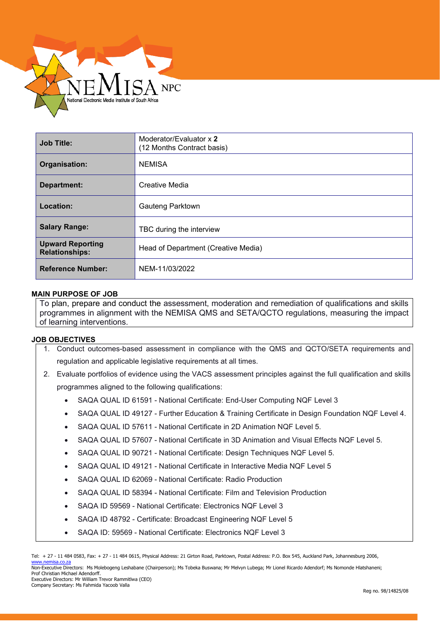

| <b>Job Title:</b>                                | Moderator/Evaluator x 2<br>(12 Months Contract basis) |
|--------------------------------------------------|-------------------------------------------------------|
| Organisation:                                    | <b>NEMISA</b>                                         |
| <b>Department:</b>                               | Creative Media                                        |
| Location:                                        | Gauteng Parktown                                      |
| <b>Salary Range:</b>                             | TBC during the interview                              |
| <b>Upward Reporting</b><br><b>Relationships:</b> | Head of Department (Creative Media)                   |
| <b>Reference Number:</b>                         | NEM-11/03/2022                                        |

## **MAIN PURPOSE OF JOB**

 To plan, prepare and conduct the assessment, moderation and remediation of qualifications and skills programmes in alignment with the NEMISA QMS and SETA/QCTO regulations, measuring the impact of learning interventions.

#### **JOB OBJECTIVES**

- $\overline{a}$ 1. Conduct outcomes-based assessment in compliance with the QMS and QCTO/SETA requirements and regulation and applicable legislative requirements at all times.
- 2. Evaluate portfolios of evidence using the VACS assessment principles against the full qualification and skills programmes aligned to the following qualifications:
	- SAQA QUAL ID 61591 National Certificate: End-User Computing NQF Level 3
	- SAQA QUAL ID 49127 Further Education & Training Certificate in Design Foundation NQF Level 4.
	- SAQA QUAL ID 57611 National Certificate in 2D Animation NQF Level 5.
	- SAQA QUAL ID 57607 National Certificate in 3D Animation and Visual Effects NQF Level 5.
	- SAQA QUAL ID 90721 National Certificate: Design Techniques NQF Level 5.
	- SAQA QUAL ID 49121 National Certificate in Interactive Media NQF Level 5
	- SAQA QUAL ID 62069 National Certificate: Radio Production
	- SAQA QUAL ID 58394 National Certificate: Film and Television Production
	- SAQA ID 59569 National Certificate: Electronics NQF Level 3
	- SAQA ID 48792 Certificate: Broadcast Engineering NQF Level 5
	- SAQA ID: 59569 National Certificate: Electronics NQF Level 3

Tel: + 27 - 11 484 0583, Fax: + 27 - 11 484 0615, Physical Address: 21 Girton Road, Parktown, Postal Address: P.O. Box 545, Auckland Park, Johannesburg 2006, [www.nemisa.co.za](http://www.nemisa.co.za/)

Non-Executive Directors: Ms Molebogeng Leshabane (Chairperson); Ms Tobeka Buswana; Mr Melvyn Lubega; Mr Lionel Ricardo Adendorf; Ms Nomonde Hlatshaneni; Prof Christian Michael Adendorff. Executive Directors: Mr William Trevor Rammitlwa (CEO)

Company Secretary: Ms Fahmida Yacoob Valla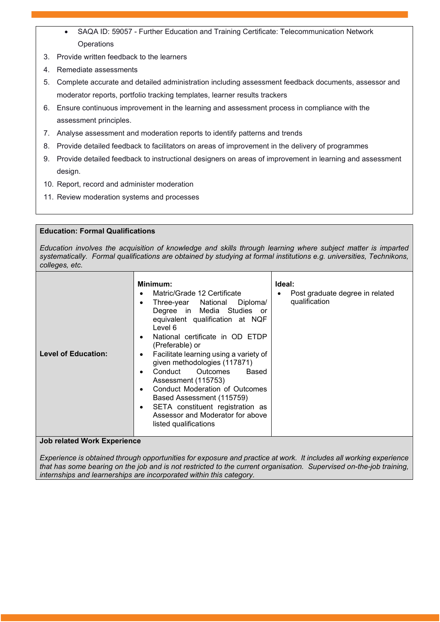- SAQA ID: 59057 Further Education and Training Certificate: Telecommunication Network **Operations**
- 3. Provide written feedback to the learners
- 4. Remediate assessments
- 5. Complete accurate and detailed administration including assessment feedback documents, assessor and moderator reports, portfolio tracking templates, learner results trackers
- 6. Ensure continuous improvement in the learning and assessment process in compliance with the assessment principles.
- 7. Analyse assessment and moderation reports to identify patterns and trends
- 8. Provide detailed feedback to facilitators on areas of improvement in the delivery of programmes
- 9. Provide detailed feedback to instructional designers on areas of improvement in learning and assessment design.
- 10. Report, record and administer moderation
- 11. Review moderation systems and processes

## **Education: Formal Qualifications**

*Education involves the acquisition of knowledge and skills through learning where subject matter is imparted systematically. Formal qualifications are obtained by studying at formal institutions e.g. universities, Technikons, colleges, etc.*

| Minimum:<br>Matric/Grade 12 Certificate<br>Three-year National Diploma/<br>Degree in Media Studies or<br>equivalent qualification at NQF<br>Level 6<br>National certificate in OD ETDP<br>(Preferable) or<br><b>Level of Education:</b><br>Facilitate learning using a variety of<br>given methodologies (117871)<br>Conduct Outcomes<br>Based<br>Assessment (115753)<br>Conduct Moderation of Outcomes<br>Based Assessment (115759)<br>SETA constituent registration as<br>Assessor and Moderator for above<br>listed qualifications | Ideal:<br>Post graduate degree in related<br>qualification |
|---------------------------------------------------------------------------------------------------------------------------------------------------------------------------------------------------------------------------------------------------------------------------------------------------------------------------------------------------------------------------------------------------------------------------------------------------------------------------------------------------------------------------------------|------------------------------------------------------------|
|---------------------------------------------------------------------------------------------------------------------------------------------------------------------------------------------------------------------------------------------------------------------------------------------------------------------------------------------------------------------------------------------------------------------------------------------------------------------------------------------------------------------------------------|------------------------------------------------------------|

#### **Job related Work Experience**

*Experience is obtained through opportunities for exposure and practice at work. It includes all working experience that has some bearing on the job and is not restricted to the current organisation. Supervised on-the-job training, internships and learnerships are incorporated within this category.*